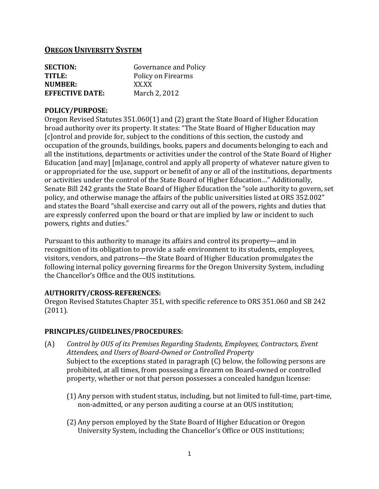## **OREGON UNIVERSITY SYSTEM**

| <b>SECTION:</b>        | Governance and Policy |
|------------------------|-----------------------|
| TITLE:                 | Policy on Firearms    |
| NUMBER:                | XX XX                 |
| <b>EFFECTIVE DATE:</b> | March 2, 2012         |

#### **POLICY/PURPOSE:**

Oregon Revised Statutes 351.060(1) and (2) grant the State Board of Higher Education broad authority over its property. It states: "The State Board of Higher Education may [c]ontrol and provide for, subject to the conditions of this section, the custody and occupation of the grounds, buildings, books, papers and documents belonging to each and all the institutions, departments or activities under the control of the State Board of Higher Education [and may] [m]anage, control and apply all property of whatever nature given to or appropriated for the use, support or benefit of any or all of the institutions, departments or activities under the control of the State Board of Higher Education…" Additionally, Senate Bill 242 grants the State Board of Higher Education the "sole authority to govern, set policy, and otherwise manage the affairs of the public universities listed at ORS 352.002" and states the Board "shall exercise and carry out all of the powers, rights and duties that are expressly conferred upon the board or that are implied by law or incident to such powers, rights and duties."

Pursuant to this authority to manage its affairs and control its property—and in recognition of its obligation to provide a safe environment to its students, employees, visitors, vendors, and patrons—the State Board of Higher Education promulgates the following internal policy governing firearms for the Oregon University System, including the Chancellor's Office and the OUS institutions.

### **AUTHORITY/CROSS-REFERENCES:**

Oregon Revised Statutes Chapter 351, with specific reference to ORS 351.060 and SB 242 (2011).

### **PRINCIPLES/GUIDELINES/PROCEDURES:**

- (A) *Control by OUS of its Premises Regarding Students, Employees, Contractors, Event Attendees, and Users of Board-Owned or Controlled Property* Subject to the exceptions stated in paragraph (C) below, the following persons are prohibited, at all times, from possessing a firearm on Board-owned or controlled property, whether or not that person possesses a concealed handgun license:
	- (1) Any person with student status, including, but not limited to full-time, part-time, non-admitted, or any person auditing a course at an OUS institution;
	- (2) Any person employed by the State Board of Higher Education or Oregon University System, including the Chancellor's Office or OUS institutions;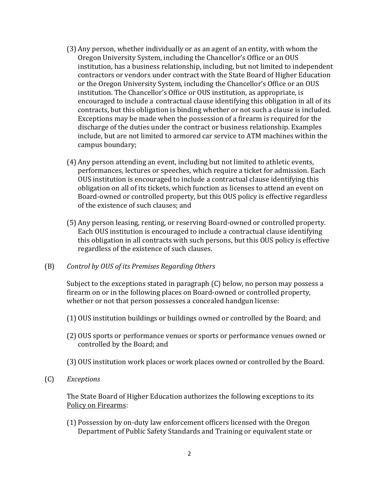- (3) Any person, whether individually or as an agent of an entity, with whom the Oregon University System, including the Chancellor's Office or an OUS institution, has a business relationship, including, but not limited to independent contractors or vendors under contract with the State Board of Higher Education or the Oregon University System, including the Chancellor's Office or an OUS institution. The Chancellor's Office or OUS institution, as appropriate, is encouraged to include a contractual clause identifying this obligation in all of its contracts, but this obligation is binding whether or not such a clause is included. Exceptions may be made when the possession of a firearm is required for the discharge of the duties under the contract or business relationship. Examples include, but are not limited to armored car service to ATM machines within the campus boundary;
- (4) Any person attending an event, including but not limited to athletic events, performances, lectures or speeches, which require a ticket for admission. Each OUS institution is encouraged to include a contractual clause identifying this obligation on all of its tickets, which function as licenses to attend an event on Board-owned or controlled property, but this OUS policy is effective regardless of the existence of such clauses; and
- (5) Any person leasing, renting, or reserving Board-owned or controlled property. Each OUS institution is encouraged to include a contractual clause identifying this obligation in all contracts with such persons, but this OUS policy is effective regardless of the existence of such clauses.

### (B) *Control by OUS of its Premises Regarding Others*

Subject to the exceptions stated in paragraph (C) below, no person may possess a firearm on or in the following places on Board-owned or controlled property, whether or not that person possesses a concealed handgun license:

- (1) OUS institution buildings or buildings owned or controlled by the Board; and
- (2) OUS sports or performance venues or sports or performance venues owned or controlled by the Board; and
- (3) OUS institution work places or work places owned or controlled by the Board.
- (C) *Exceptions*

The State Board of Higher Education authorizes the following exceptions to its Policy on Firearms:

(1) Possession by on-duty law enforcement officers licensed with the Oregon Department of Public Safety Standards and Training or equivalent state or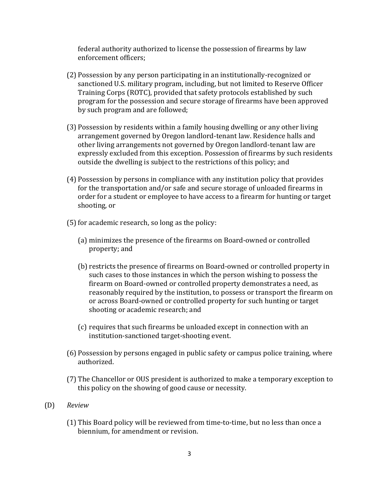federal authority authorized to license the possession of firearms by law enforcement officers;

- (2) Possession by any person participating in an institutionally-recognized or sanctioned U.S. military program, including, but not limited to Reserve Officer Training Corps (ROTC), provided that safety protocols established by such program for the possession and secure storage of firearms have been approved by such program and are followed;
- (3) Possession by residents within a family housing dwelling or any other living arrangement governed by Oregon landlord-tenant law. Residence halls and other living arrangements not governed by Oregon landlord-tenant law are expressly excluded from this exception. Possession of firearms by such residents outside the dwelling is subject to the restrictions of this policy; and
- (4) Possession by persons in compliance with any institution policy that provides for the transportation and/or safe and secure storage of unloaded firearms in order for a student or employee to have access to a firearm for hunting or target shooting, or
- $(5)$  for academic research, so long as the policy:
	- (a) minimizes the presence of the firearms on Board-owned or controlled property; and
	- (b) restricts the presence of firearms on Board-owned or controlled property in such cases to those instances in which the person wishing to possess the firearm on Board-owned or controlled property demonstrates a need, as reasonably required by the institution, to possess or transport the firearm on or across Board-owned or controlled property for such hunting or target shooting or academic research; and
	- (c) requires that such firearms be unloaded except in connection with an institution-sanctioned target-shooting event.
- (6) Possession by persons engaged in public safety or campus police training, where authorized.
- (7) The Chancellor or OUS president is authorized to make a temporary exception to this policy on the showing of good cause or necessity.
- (D) *Review*
	- (1) This Board policy will be reviewed from time-to-time, but no less than once a biennium, for amendment or revision.